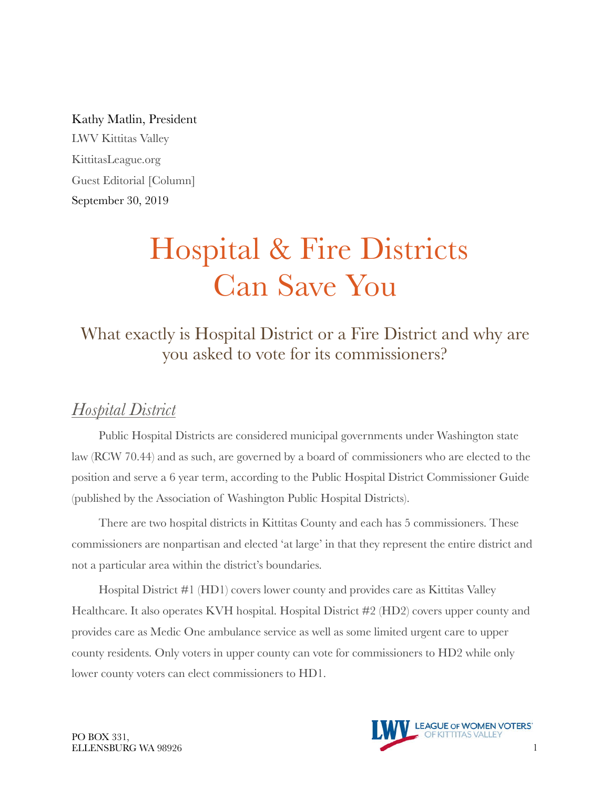Kathy Matlin, President LWV Kittitas Valley KittitasLeague.org Guest Editorial [Column] September 30, 2019

# Hospital & Fire Districts Can Save You

What exactly is Hospital District or a Fire District and why are you asked to vote for its commissioners?

### *Hospital District*

Public Hospital Districts are considered municipal governments under Washington state law (RCW 70.44) and as such, are governed by a board of commissioners who are elected to the position and serve a 6 year term, according to the Public Hospital District Commissioner Guide (published by the Association of Washington Public Hospital Districts).

There are two hospital districts in Kittitas County and each has 5 commissioners. These commissioners are nonpartisan and elected 'at large' in that they represent the entire district and not a particular area within the district's boundaries.

Hospital District #1 (HD1) covers lower county and provides care as Kittitas Valley Healthcare. It also operates KVH hospital. Hospital District #2 (HD2) covers upper county and provides care as Medic One ambulance service as well as some limited urgent care to upper county residents. Only voters in upper county can vote for commissioners to HD2 while only lower county voters can elect commissioners to HD1.

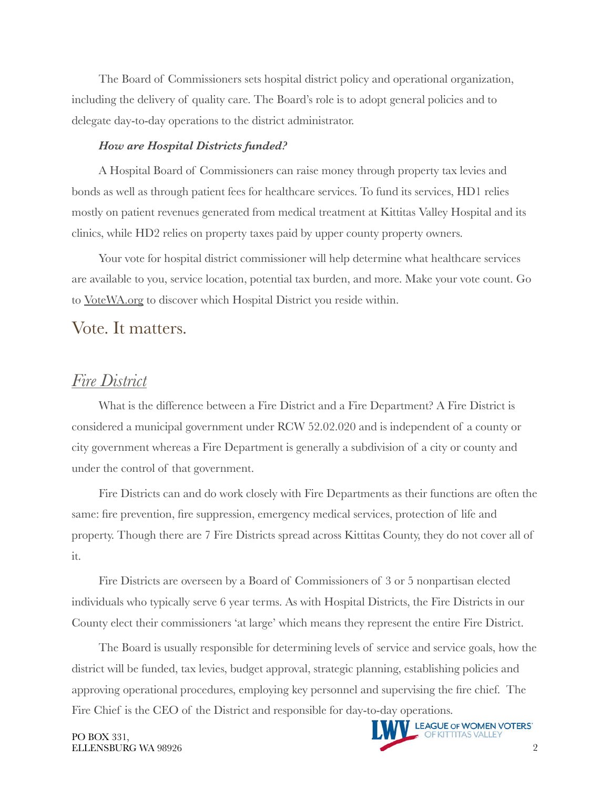The Board of Commissioners sets hospital district policy and operational organization, including the delivery of quality care. The Board's role is to adopt general policies and to delegate day-to-day operations to the district administrator.

#### *How are Hospital Districts funded?*

A Hospital Board of Commissioners can raise money through property tax levies and bonds as well as through patient fees for healthcare services. To fund its services, HD1 relies mostly on patient revenues generated from medical treatment at Kittitas Valley Hospital and its clinics, while HD2 relies on property taxes paid by upper county property owners.

Your vote for hospital district commissioner will help determine what healthcare services are available to you, service location, potential tax burden, and more. Make your vote count. Go to [VoteWA.org](http://votewa.org) to discover which Hospital District you reside within.

#### Vote. It matters.

#### *Fire District*

What is the difference between a Fire District and a Fire Department? A Fire District is considered a municipal government under RCW 52.02.020 and is independent of a county or city government whereas a Fire Department is generally a subdivision of a city or county and under the control of that government.

Fire Districts can and do work closely with Fire Departments as their functions are often the same: fire prevention, fire suppression, emergency medical services, protection of life and property. Though there are 7 Fire Districts spread across Kittitas County, they do not cover all of it.

Fire Districts are overseen by a Board of Commissioners of 3 or 5 nonpartisan elected individuals who typically serve 6 year terms. As with Hospital Districts, the Fire Districts in our County elect their commissioners 'at large' which means they represent the entire Fire District.

The Board is usually responsible for determining levels of service and service goals, how the district will be funded, tax levies, budget approval, strategic planning, establishing policies and approving operational procedures, employing key personnel and supervising the fire chief. The Fire Chief is the CEO of the District and responsible for day-to-day operations.

PO BOX 331,